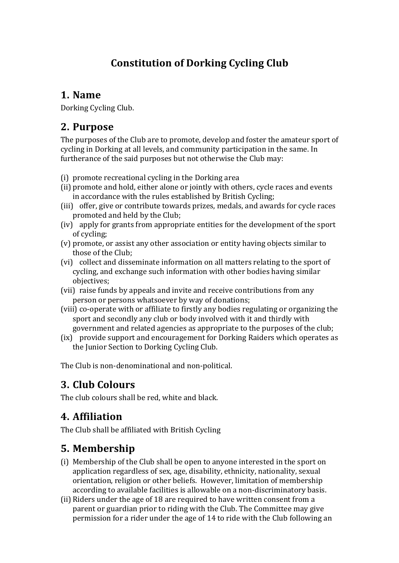# **Constitution of Dorking Cycling Club**

#### **1. Name**

Dorking Cycling Club.

### **2. Purpose**

The purposes of the Club are to promote, develop and foster the amateur sport of cycling in Dorking at all levels, and community participation in the same. In furtherance of the said purposes but not otherwise the Club may:

- $(i)$  promote recreational cycling in the Dorking area
- (ii) promote and hold, either alone or jointly with others, cycle races and events in accordance with the rules established by British Cycling;
- (iii) offer, give or contribute towards prizes, medals, and awards for cycle races promoted and held by the Club;
- (iv) apply for grants from appropriate entities for the development of the sport of cycling;
- (v) promote, or assist any other association or entity having objects similar to those of the Club:
- (vi) collect and disseminate information on all matters relating to the sport of cycling, and exchange such information with other bodies having similar objectives;
- (vii) raise funds by appeals and invite and receive contributions from any person or persons whatsoever by way of donations;
- (viii) co-operate with or affiliate to firstly any bodies regulating or organizing the sport and secondly any club or body involved with it and thirdly with government and related agencies as appropriate to the purposes of the club;
- (ix) provide support and encouragement for Dorking Raiders which operates as the Junior Section to Dorking Cycling Club.

The Club is non-denominational and non-political.

# **3. Club Colours**

The club colours shall be red, white and black.

# **4. Affiliation**

The Club shall be affiliated with British Cycling

# **5. Membership**

- (i) Membership of the Club shall be open to anyone interested in the sport on application regardless of sex, age, disability, ethnicity, nationality, sexual orientation, religion or other beliefs. However, limitation of membership according to available facilities is allowable on a non-discriminatory basis.
- (ii) Riders under the age of 18 are required to have written consent from a parent or guardian prior to riding with the Club. The Committee may give permission for a rider under the age of 14 to ride with the Club following an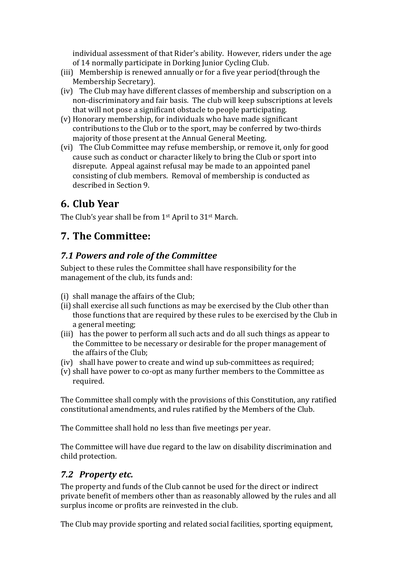individual assessment of that Rider's ability. However, riders under the age of 14 normally participate in Dorking Junior Cycling Club.

- (iii) Membership is renewed annually or for a five year period(through the Membership Secretary).
- (iv) The Club may have different classes of membership and subscription on a non-discriminatory and fair basis. The club will keep subscriptions at levels that will not pose a significant obstacle to people participating.
- $(v)$  Honorary membership, for individuals who have made significant contributions to the Club or to the sport, may be conferred by two-thirds majority of those present at the Annual General Meeting.
- (vi) The Club Committee may refuse membership, or remove it, only for good cause such as conduct or character likely to bring the Club or sport into disrepute. Appeal against refusal may be made to an appointed panel consisting of club members. Removal of membership is conducted as described in Section 9.

# **6. Club Year**

The Club's year shall be from  $1<sup>st</sup>$  April to  $31<sup>st</sup>$  March.

# **7. The Committee:**

#### *7.1 Powers and role of the Committee*

Subject to these rules the Committee shall have responsibility for the management of the club, its funds and:

- (i) shall manage the affairs of the Club;
- (ii) shall exercise all such functions as may be exercised by the Club other than those functions that are required by these rules to be exercised by the Club in a general meeting;
- (iii) has the power to perform all such acts and do all such things as appear to the Committee to be necessary or desirable for the proper management of the affairs of the Club;
- $(iv)$  shall have power to create and wind up sub-committees as required;
- (v) shall have power to co-opt as many further members to the Committee as required.

The Committee shall comply with the provisions of this Constitution, any ratified constitutional amendments, and rules ratified by the Members of the Club.

The Committee shall hold no less than five meetings per year.

The Committee will have due regard to the law on disability discrimination and child protection.

#### *7.2 Property etc.*

The property and funds of the Club cannot be used for the direct or indirect private benefit of members other than as reasonably allowed by the rules and all surplus income or profits are reinvested in the club.

The Club may provide sporting and related social facilities, sporting equipment,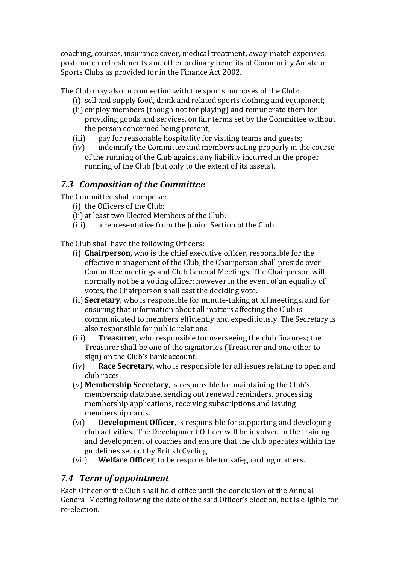coaching, courses, insurance cover, medical treatment, away-match expenses, post-match refreshments and other ordinary benefits of Community Amateur Sports Clubs as provided for in the Finance Act 2002.

The Club may also in connection with the sports purposes of the Club:

- (i) sell and supply food, drink and related sports clothing and equipment;
- (ii) employ members (though not for playing) and remunerate them for providing goods and services, on fair terms set by the Committee without the person concerned being present;
- (iii) pay for reasonable hospitality for visiting teams and guests;
- (iv) indemnify the Committee and members acting properly in the course of the running of the Club against any liability incurred in the proper running of the Club (but only to the extent of its assets).

#### **7.3 Composition of the Committee**

The Committee shall comprise:

- (i) the Officers of the Club;
- (ii) at least two Elected Members of the Club;
- (iii) a representative from the Junior Section of the Club.

The Club shall have the following Officers:

- (i) **Chairperson**, who is the chief executive officer, responsible for the effective management of the Club; the Chairperson shall preside over Committee meetings and Club General Meetings; The Chairperson will normally not be a voting officer; however in the event of an equality of votes, the Chairperson shall cast the deciding vote.
- (ii) **Secretary**, who is responsible for minute-taking at all meetings, and for ensuring that information about all matters affecting the Club is communicated to members efficiently and expeditiously. The Secretary is also responsible for public relations.
- (iii) **Treasurer**, who responsible for overseeing the club finances; the Treasurer shall be one of the signatories (Treasurer and one other to sign) on the Club's bank account.
- (iv) **Race Secretary**, who is responsible for all issues relating to open and club races.
- (v) **Membership Secretary**, is responsible for maintaining the Club's membership database, sending out renewal reminders, processing membership applications, receiving subscriptions and issuing membership cards.
- (vi) **Development Officer**, is responsible for supporting and developing club activities. The Development Officer will be involved in the training and development of coaches and ensure that the club operates within the guidelines set out by British Cycling.
- (vii) Welfare Officer, to be responsible for safeguarding matters.

#### *7.4 Term of appointment*

Each Officer of the Club shall hold office until the conclusion of the Annual General Meeting following the date of the said Officer's election, but is eligible for re-election.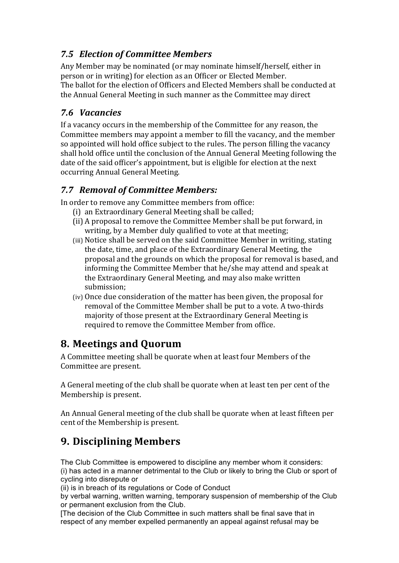#### *7.5 Election of Committee Members*

Any Member may be nominated (or may nominate himself/herself, either in person or in writing) for election as an Officer or Elected Member. The ballot for the election of Officers and Elected Members shall be conducted at the Annual General Meeting in such manner as the Committee may direct

#### *7.6 Vacancies*

If a vacancy occurs in the membership of the Committee for any reason, the Committee members may appoint a member to fill the vacancy, and the member so appointed will hold office subject to the rules. The person filling the vacancy shall hold office until the conclusion of the Annual General Meeting following the date of the said officer's appointment, but is eligible for election at the next occurring Annual General Meeting.

#### *7.7 Removal of Committee Members:*

In order to remove any Committee members from office:

- (i) an Extraordinary General Meeting shall be called;
- (ii) A proposal to remove the Committee Member shall be put forward, in writing, by a Member duly qualified to vote at that meeting:
- (iii) Notice shall be served on the said Committee Member in writing, stating the date, time, and place of the Extraordinary General Meeting, the proposal and the grounds on which the proposal for removal is based, and informing the Committee Member that he/she may attend and speak at the Extraordinary General Meeting, and may also make written submission;
- (iv) Once due consideration of the matter has been given, the proposal for removal of the Committee Member shall be put to a vote. A two-thirds majority of those present at the Extraordinary General Meeting is required to remove the Committee Member from office.

# **8. Meetings and Quorum**

A Committee meeting shall be quorate when at least four Members of the Committee are present.

A General meeting of the club shall be quorate when at least ten per cent of the Membership is present.

An Annual General meeting of the club shall be quorate when at least fifteen per cent of the Membership is present.

# **9. Disciplining Members**

The Club Committee is empowered to discipline any member whom it considers: (i) has acted in a manner detrimental to the Club or likely to bring the Club or sport of cycling into disrepute or

(ii) is in breach of its regulations or Code of Conduct

by verbal warning, written warning, temporary suspension of membership of the Club or permanent exclusion from the Club.

[The decision of the Club Committee in such matters shall be final save that in respect of any member expelled permanently an appeal against refusal may be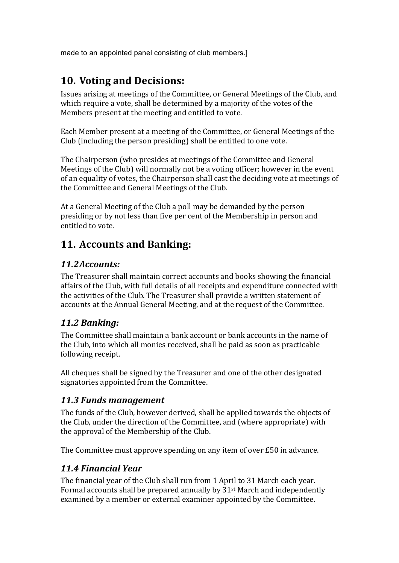made to an appointed panel consisting of club members.]

### **10. Voting and Decisions:**

Issues arising at meetings of the Committee, or General Meetings of the Club, and which require a vote, shall be determined by a majority of the votes of the Members present at the meeting and entitled to vote.

Each Member present at a meeting of the Committee, or General Meetings of the Club (including the person presiding) shall be entitled to one vote.

The Chairperson (who presides at meetings of the Committee and General Meetings of the Club) will normally not be a voting officer; however in the event of an equality of votes, the Chairperson shall cast the deciding vote at meetings of the Committee and General Meetings of the Club.

At a General Meeting of the Club a poll may be demanded by the person presiding or by not less than five per cent of the Membership in person and entitled to vote.

# **11. Accounts and Banking:**

#### *11.2Accounts:*

The Treasurer shall maintain correct accounts and books showing the financial affairs of the Club, with full details of all receipts and expenditure connected with the activities of the Club. The Treasurer shall provide a written statement of accounts at the Annual General Meeting, and at the request of the Committee.

#### *11.2 Banking:*

The Committee shall maintain a bank account or bank accounts in the name of the Club, into which all monies received, shall be paid as soon as practicable following receipt.

All cheques shall be signed by the Treasurer and one of the other designated signatories appointed from the Committee.

#### *11.3 Funds management*

The funds of the Club, however derived, shall be applied towards the objects of the Club, under the direction of the Committee, and (where appropriate) with the approval of the Membership of the Club.

The Committee must approve spending on any item of over  $E50$  in advance.

#### *11.4 Financial Year*

The financial year of the Club shall run from 1 April to 31 March each year. Formal accounts shall be prepared annually by  $31<sup>st</sup>$  March and independently examined by a member or external examiner appointed by the Committee.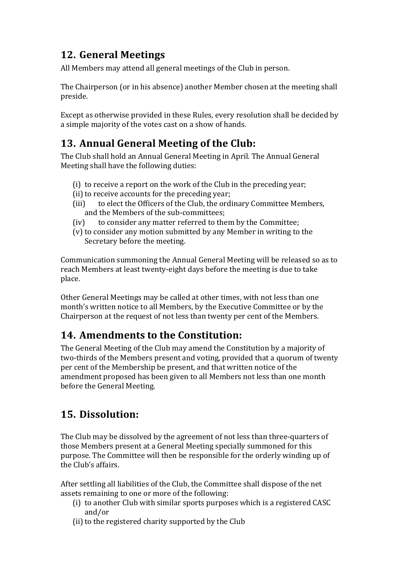# **12. General Meetings**

All Members may attend all general meetings of the Club in person.

The Chairperson (or in his absence) another Member chosen at the meeting shall preside.

Except as otherwise provided in these Rules, every resolution shall be decided by a simple majority of the votes cast on a show of hands.

# **13. Annual General Meeting of the Club:**

The Club shall hold an Annual General Meeting in April. The Annual General Meeting shall have the following duties:

- (i) to receive a report on the work of the Club in the preceding year;
- (ii) to receive accounts for the preceding year;
- (iii) to elect the Officers of the Club, the ordinary Committee Members, and the Members of the sub-committees:
- (iv) to consider any matter referred to them by the Committee;
- (v) to consider any motion submitted by any Member in writing to the Secretary before the meeting.

Communication summoning the Annual General Meeting will be released so as to reach Members at least twenty-eight days before the meeting is due to take place.

Other General Meetings may be called at other times, with not less than one month's written notice to all Members, by the Executive Committee or by the Chairperson at the request of not less than twenty per cent of the Members.

# **14.** Amendments to the Constitution:

The General Meeting of the Club may amend the Constitution by a majority of two-thirds of the Members present and voting, provided that a quorum of twenty per cent of the Membership be present, and that written notice of the amendment proposed has been given to all Members not less than one month before the General Meeting.

# **15. Dissolution:**

The Club may be dissolved by the agreement of not less than three-quarters of those Members present at a General Meeting specially summoned for this purpose. The Committee will then be responsible for the orderly winding up of the Club's affairs.

After settling all liabilities of the Club, the Committee shall dispose of the net assets remaining to one or more of the following:

- (i) to another Club with similar sports purposes which is a registered CASC and/or
- (ii) to the registered charity supported by the Club